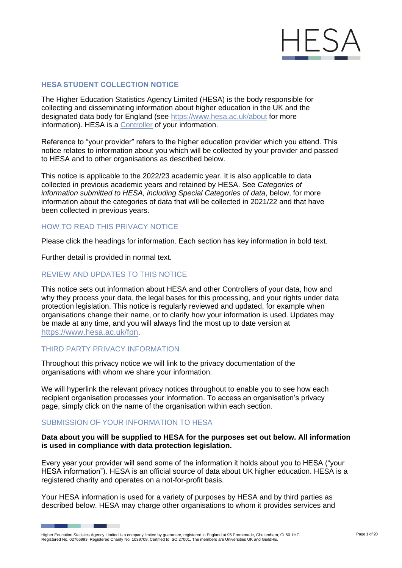

### **HESA STUDENT COLLECTION NOTICE**

The Higher Education Statistics Agency Limited (HESA) is the body responsible for collecting and disseminating information about higher education in the UK and the designated data body for England (see <https://www.hesa.ac.uk/about> for more information). HESA is a [Controller](https://ico.org.uk/for-organisations/guide-to-data-protection/guide-to-the-general-data-protection-regulation-gdpr/key-definitions/controllers-and-processors/) of your information.

Reference to "your provider" refers to the higher education provider which you attend. This notice relates to information about you which will be collected by your provider and passed to HESA and to other organisations as described below.

This notice is applicable to the 2022/23 academic year. It is also applicable to data collected in previous academic years and retained by HESA. See *Categories of information submitted to HESA, including Special Categories of data*, below, for more information about the categories of data that will be collected in 2021/22 and that have been collected in previous years.

# HOW TO READ THIS PRIVACY NOTICE

Please click the headings for information. Each section has key information in bold text.

Further detail is provided in normal text.

### REVIEW AND UPDATES TO THIS NOTICE

This notice sets out information about HESA and other Controllers of your data, how and why they process your data, the legal bases for this processing, and your rights under data protection legislation. This notice is regularly reviewed and updated, for example when organisations change their name, or to clarify how your information is used. Updates may be made at any time, and you will always find the most up to date version at <https://www.hesa.ac.uk/fpn>.

#### THIRD PARTY PRIVACY INFORMATION

Throughout this privacy notice we will link to the privacy documentation of the organisations with whom we share your information.

We will hyperlink the relevant privacy notices throughout to enable you to see how each recipient organisation processes your information. To access an organisation's privacy page, simply click on the name of the organisation within each section.

#### SUBMISSION OF YOUR INFORMATION TO HESA

#### **Data about you will be supplied to HESA for the purposes set out below. All information is used in compliance with data protection legislation.**

Every year your provider will send some of the information it holds about you to HESA ("your HESA information"). HESA is an official source of data about UK higher education. HESA is a registered charity and operates on a not-for-profit basis.

Your HESA information is used for a variety of purposes by HESA and by third parties as described below. HESA may charge other organisations to whom it provides services and

Higher Education Statistics Agency Limited is a company limited by guarantee, registered in England at 95 Promenade, Cheltenham, GL50 1HZ.<br>Registered No. 02766993. Registered Charity No. 1039709. Certified to ISO 27001. Th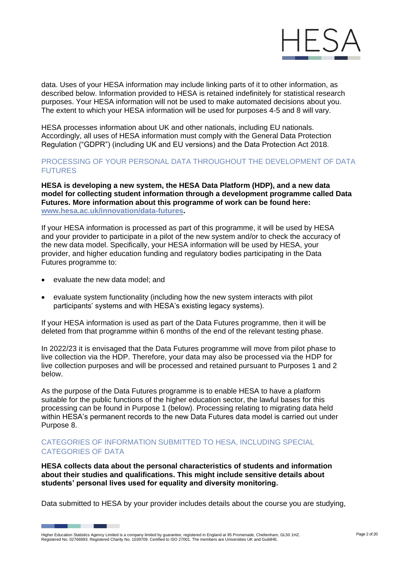

data. Uses of your HESA information may include linking parts of it to other information, as described below. Information provided to HESA is retained indefinitely for statistical research purposes. Your HESA information will not be used to make automated decisions about you. The extent to which your HESA information will be used for purposes 4-5 and 8 will vary.

HESA processes information about UK and other nationals, including EU nationals. Accordingly, all uses of HESA information must comply with the General Data Protection Regulation ("GDPR") (including UK and EU versions) and the Data Protection Act 2018.

# PROCESSING OF YOUR PERSONAL DATA THROUGHOUT THE DEVELOPMENT OF DATA FUTURES

**HESA is developing a new system, the HESA Data Platform (HDP), and a new data model for collecting student information through a development programme called Data Futures. More information about this programme of work can be found here: [www.hesa.ac.uk/innovation/data-futures.](https://www.hesa.ac.uk/innovation/data-futures)**

If your HESA information is processed as part of this programme, it will be used by HESA and your provider to participate in a pilot of the new system and/or to check the accuracy of the new data model. Specifically, your HESA information will be used by HESA, your provider, and higher education funding and regulatory bodies participating in the Data Futures programme to:

• evaluate the new data model; and

٠

• evaluate system functionality (including how the new system interacts with pilot participants' systems and with HESA's existing legacy systems).

If your HESA information is used as part of the Data Futures programme, then it will be deleted from that programme within 6 months of the end of the relevant testing phase.

In 2022/23 it is envisaged that the Data Futures programme will move from pilot phase to live collection via the HDP. Therefore, your data may also be processed via the HDP for live collection purposes and will be processed and retained pursuant to Purposes 1 and 2 below.

As the purpose of the Data Futures programme is to enable HESA to have a platform suitable for the public functions of the higher education sector, the lawful bases for this processing can be found in Purpose 1 (below). Processing relating to migrating data held within HESA's permanent records to the new Data Futures data model is carried out under Purpose 8.

# CATEGORIES OF INFORMATION SUBMITTED TO HESA, INCLUDING SPECIAL CATEGORIES OF DATA

**HESA collects data about the personal characteristics of students and information about their studies and qualifications. This might include sensitive details about students' personal lives used for equality and diversity monitoring.**

Data submitted to HESA by your provider includes details about the course you are studying,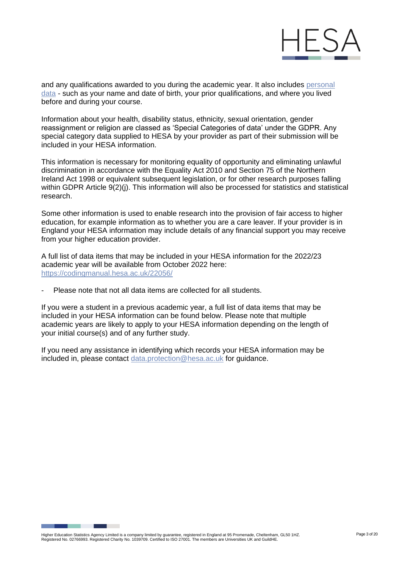

and any qualifications awarded to you during the academic year. It also includes personal [data](https://ico.org.uk/for-organisations/guide-to-data-protection/guide-to-the-general-data-protection-regulation-gdpr/key-definitions/what-is-personal-data/) - such as your name and date of birth, your prior qualifications, and where you lived before and during your course.

Information about your health, disability status, ethnicity, sexual orientation, gender reassignment or religion are classed as 'Special Categories of data' under the GDPR. Any special category data supplied to HESA by your provider as part of their submission will be included in your HESA information.

This information is necessary for monitoring equality of opportunity and eliminating unlawful discrimination in accordance with the Equality Act 2010 and Section 75 of the Northern Ireland Act 1998 or equivalent subsequent legislation, or for other research purposes falling within GDPR Article 9(2)(j). This information will also be processed for statistics and statistical research.

Some other information is used to enable research into the provision of fair access to higher education, for example information as to whether you are a care leaver. If your provider is in England your HESA information may include details of any financial support you may receive from your higher education provider.

A full list of data items that may be included in your HESA information for the 2022/23 academic year will be available from October 2022 here: <https://codingmanual.hesa.ac.uk/22056/>

Please note that not all data items are collected for all students.

If you were a student in a previous academic year, a full list of data items that may be included in your HESA information can be found below. Please note that multiple academic years are likely to apply to your HESA information depending on the length of your initial course(s) and of any further study.

If you need any assistance in identifying which records your HESA information may be included in, please contact [data.protection@hesa.ac.uk](mailto:data.protection@hesa.ac.uk) for guidance.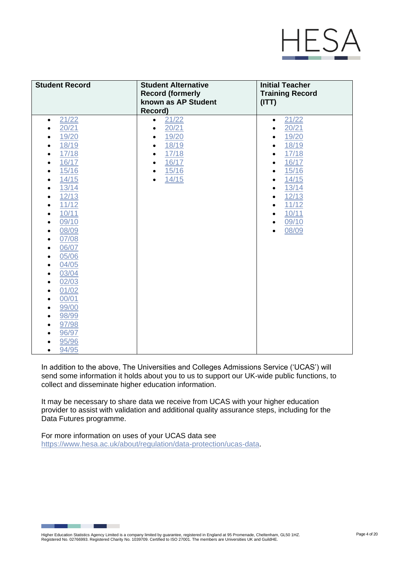

| <b>Student Record</b>                                                                                                                                                                                                                                                                                                                                                                                                                          | <b>Student Alternative</b><br><b>Record (formerly</b><br>known as AP Student                                                               | <b>Initial Teacher</b><br><b>Training Record</b><br>(ITT)                                                                                                                                                                                              |
|------------------------------------------------------------------------------------------------------------------------------------------------------------------------------------------------------------------------------------------------------------------------------------------------------------------------------------------------------------------------------------------------------------------------------------------------|--------------------------------------------------------------------------------------------------------------------------------------------|--------------------------------------------------------------------------------------------------------------------------------------------------------------------------------------------------------------------------------------------------------|
|                                                                                                                                                                                                                                                                                                                                                                                                                                                | Record)                                                                                                                                    |                                                                                                                                                                                                                                                        |
| 21/22<br>$\bullet$<br>20/21<br>19/20<br>18/19<br>17/18<br>16/17<br>15/16<br>14/15<br>13/14<br>$\bullet$<br>12/13<br>11/12<br>10/11<br>$\bullet$<br>09/10<br>$\bullet$<br>08/09<br>$\bullet$<br>07/08<br>$\bullet$<br>06/07<br>$\bullet$<br>05/06<br>$\bullet$<br>04/05<br>$\bullet$<br>03/04<br>$\bullet$<br>02/03<br>$\bullet$<br>01/02<br>$\bullet$<br>00/01<br>$\bullet$<br>99/00<br>98/99<br>97/98<br>96/97<br>95/96<br>94/95<br>$\bullet$ | 21/22<br>$\bullet$<br>20/21<br>19/20<br>18/19<br>٠<br>17/18<br>$\bullet$<br>16/17<br>$\bullet$<br>15/16<br>$\bullet$<br>14/15<br>$\bullet$ | 21/22<br>$\bullet$<br>20/21<br>٠<br>19/20<br>$\bullet$<br>18/19<br>٠<br>17/18<br>٠<br>16/17<br>$\bullet$<br>15/16<br>$\bullet$<br>14/15<br>$\bullet$<br>13/14<br>$\bullet$<br>12/13<br>٠<br>11/12<br>$\bullet$<br>10/11<br>$\bullet$<br>09/10<br>08/09 |

In addition to the above, The Universities and Colleges Admissions Service ('UCAS') will send some information it holds about you to us to support our UK-wide public functions, to collect and disseminate higher education information.

It may be necessary to share data we receive from UCAS with your higher education provider to assist with validation and additional quality assurance steps, including for the Data Futures programme.

For more information on uses of your UCAS data see [https://www.hesa.ac.uk/about/regulation/data-protection/ucas-data.](https://www.hesa.ac.uk/about/regulation/data-protection/ucas-data)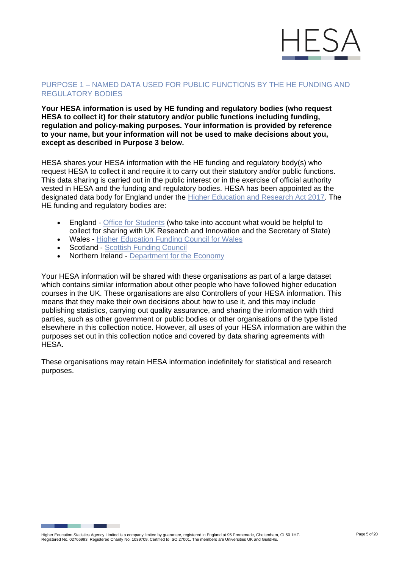

# PURPOSE 1 – NAMED DATA USED FOR PUBLIC FUNCTIONS BY THE HE FUNDING AND REGULATORY BODIES

#### **Your HESA information is used by HE funding and regulatory bodies (who request HESA to collect it) for their statutory and/or public functions including funding, regulation and policy-making purposes. Your information is provided by reference to your name, but your information will not be used to make decisions about you, except as described in Purpose 3 below.**

HESA shares your HESA information with the HE funding and regulatory body(s) who request HESA to collect it and require it to carry out their statutory and/or public functions. This data sharing is carried out in the public interest or in the exercise of official authority vested in HESA and the funding and regulatory bodies. HESA has been appointed as the designated data body for England under the [Higher Education and Research Act 2017. T](https://www.legislation.gov.uk/ukpga/2017/29/contents/enacted)he HE funding and regulatory bodies are:

- England [Office for Students](https://www.officeforstudents.org.uk/privacy/) (who take into account what would be helpful to collect for sharing with UK Research and Innovation and the Secretary of State)
- Wales [Higher Education Funding](https://www.hefcw.ac.uk/en/about-us/operational-policies/hefcw-privacy-notice/) Council for Wales
- Scotland [Scottish Funding Council](http://www.sfc.ac.uk/about-sfc/how-we-operate/access-information/privacy-notice/privacy.aspx)
- Northern Ireland Department [for the Economy](https://www.economy-ni.gov.uk/dfe-privacy-notice)

Your HESA information will be shared with these organisations as part of a large dataset which contains similar information about other people who have followed higher education courses in the UK. These organisations are also Controllers of your HESA information. This means that they make their own decisions about how to use it, and this may include publishing statistics, carrying out quality assurance, and sharing the information with third parties, such as other government or public bodies or other organisations of the type listed elsewhere in this collection notice. However, all uses of your HESA information are within the purposes set out in this collection notice and covered by data sharing agreements with HESA.

These organisations may retain HESA information indefinitely for statistical and research purposes.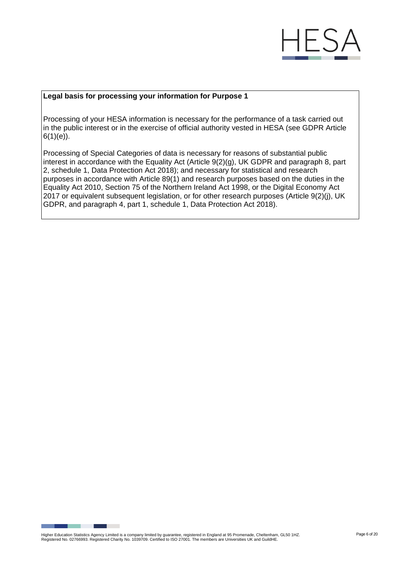

#### **Legal basis for processing your information for Purpose 1**

Processing of your HESA information is necessary for the performance of a task carried out in the public interest or in the exercise of official authority vested in HESA (see GDPR Article  $6(1)(e)$ ).

Processing of Special Categories of data is necessary for reasons of substantial public interest in accordance with the Equality Act (Article 9(2)(g), UK GDPR and paragraph 8, part 2, schedule 1, Data Protection Act 2018); and necessary for statistical and research purposes in accordance with Article 89(1) and research purposes based on the duties in the Equality Act 2010, Section 75 of the Northern Ireland Act 1998, or the Digital Economy Act 2017 or equivalent subsequent legislation, or for other research purposes (Article 9(2)(j), UK GDPR, and paragraph 4, part 1, schedule 1, Data Protection Act 2018).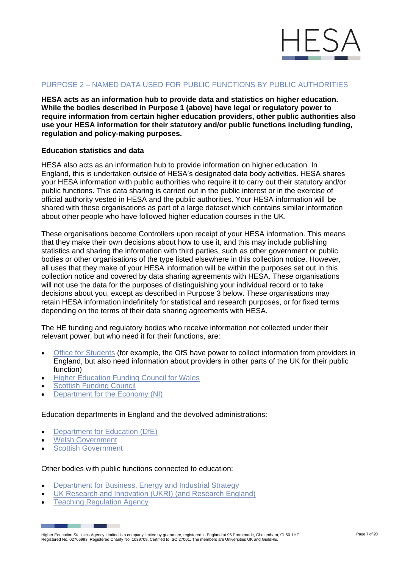

# PURPOSE 2 – NAMED DATA USED FOR PUBLIC FUNCTIONS BY PUBLIC AUTHORITIES

**HESA acts as an information hub to provide data and statistics on higher education. While the bodies described in Purpose 1 (above) have legal or regulatory power to require information from certain higher education providers, other public authorities also use your HESA information for their statutory and/or public functions including funding, regulation and policy-making purposes.**

#### **Education statistics and data**

HESA also acts as an information hub to provide information on higher education. In England, this is undertaken outside of HESA's designated data body activities. HESA shares your HESA information with public authorities who require it to carry out their statutory and/or public functions. This data sharing is carried out in the public interest or in the exercise of official authority vested in HESA and the public authorities. Your HESA information will be shared with these organisations as part of a large dataset which contains similar information about other people who have followed higher education courses in the UK.

These organisations become Controllers upon receipt of your HESA information. This means that they make their own decisions about how to use it, and this may include publishing statistics and sharing the information with third parties, such as other government or public bodies or other organisations of the type listed elsewhere in this collection notice. However, all uses that they make of your HESA information will be within the purposes set out in this collection notice and covered by data sharing agreements with HESA. These organisations will not use the data for the purposes of distinguishing your individual record or to take decisions about you, except as described in Purpose 3 below. These organisations may retain HESA information indefinitely for statistical and research purposes, or for fixed terms depending on the terms of their data sharing agreements with HESA.

The HE funding and regulatory bodies who receive information not collected under their relevant power, but who need it for their functions, are:

- [Office for Students](https://www.officeforstudents.org.uk/privacy/) (for example, the OfS have power to collect information from providers in England, but also need information about providers in other parts of the UK for their public function)
- [Higher Education Funding Council](https://www.hefcw.ac.uk/en/about-us/operational-policies/hefcw-privacy-notice/) for Wales
- **Scottish [Funding Council](http://www.sfc.ac.uk/about-sfc/how-we-operate/access-information/privacy-notice/privacy.aspx)**
- [Department](https://www.economy-ni.gov.uk/dfe-privacy-notice) for the Economy (NI)

Education departments in England and the devolved administrations:

- Department [for Education](https://www.gov.uk/guidance/data-protection-how-we-collect-and-share-research-data) (DfE)
- Welsh [Government](https://gov.wales/higher-education-statistics-agency-hesa-student-data-collection)

٠

**Scottish [Government](https://www.gov.scot/publications/scottish-exchange-of-data-privacy-information/)** 

#### Other bodies with public functions connected to education:

- Department for Business, Energy [and Industrial Strategy](https://www.gov.uk/government/organisations/department-for-business-energy-and-industrial-strategy/about/personal-information-charter)
- UK Research and [Innovation](https://www.ukri.org/privacy-notice/) (UKRI) (and Research England)
- **Teaching [Regulation Agency](https://www.gov.uk/government/organisations/teaching-regulation-agency/about/personal-information-charter)**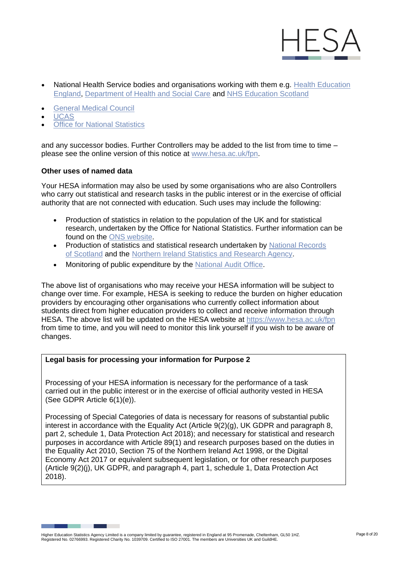

- National Health Service bodies and organisations working with them e.g. Health Education [England,](https://hee.nhs.uk/about/privacy-notice) [Department of Health and Social Care](https://www.gov.uk/government/organisations/department-of-health-and-social-care/about/personal-information-charter) and [NHS Education Scotland](https://www.nes.scot.nhs.uk/legal-and-site-information/privacy/)
- **[General](https://www.gmc-uk.org/privacy-and-cookies) Medical Council**
- [UCAS](https://www.ucas.com/about-us/policies/privacy-policies-and-declarations/ucas-privacy-policy)
- **[Office for National Statistics](https://www.ons.gov.uk/aboutus/transparencyandgovernance/dataprotection)**

and any successor bodies. Further Controllers may be added to the list from time to time – please see the online version of this notice at [www.hesa.ac.uk/fpn.](https://www.hesa.ac.uk/fpn)

### **Other uses of named data**

Your HESA information may also be used by some organisations who are also Controllers who carry out statistical and research tasks in the public interest or in the exercise of official authority that are not connected with education. Such uses may include the following:

- Production of statistics in relation to the population of the UK and for statistical research, undertaken by the Office for National Statistics. Further information can be found on the ONS [website.](https://www.ons.gov.uk/aboutus/transparencyandgovernance/dataprotection)
- Production of statistics and statistical research undertaken by National Records [of Scotland](https://www.nrscotland.gov.uk/Privacy) and the Northern [Ireland Statistics](https://www.nisra.gov.uk/nisra-privacy-notice) and Research Agency.
- Monitoring of public expenditure by the [National Audit](https://www.nao.org.uk/privacy-policy-and-cookies-statement/) Office.

The above list of organisations who may receive your HESA information will be subject to change over time. For example, HESA is seeking to reduce the burden on higher education providers by encouraging other organisations who currently collect information about students direct from higher education providers to collect and receive information through HESA. The above list will be updated on the HESA website at <https://www.hesa.ac.uk/fpn> from time to time, and you will need to monitor this link yourself if you wish to be aware of changes.

#### **Legal basis for processing your information for Purpose 2**

Processing of your HESA information is necessary for the performance of a task carried out in the public interest or in the exercise of official authority vested in HESA (See GDPR Article 6(1)(e)).

Processing of Special Categories of data is necessary for reasons of substantial public interest in accordance with the Equality Act (Article 9(2)(g), UK GDPR and paragraph 8, part 2, schedule 1, Data Protection Act 2018); and necessary for statistical and research purposes in accordance with Article 89(1) and research purposes based on the duties in the Equality Act 2010, Section 75 of the Northern Ireland Act 1998, or the Digital Economy Act 2017 or equivalent subsequent legislation, or for other research purposes (Article 9(2)(j), UK GDPR, and paragraph 4, part 1, schedule 1, Data Protection Act 2018).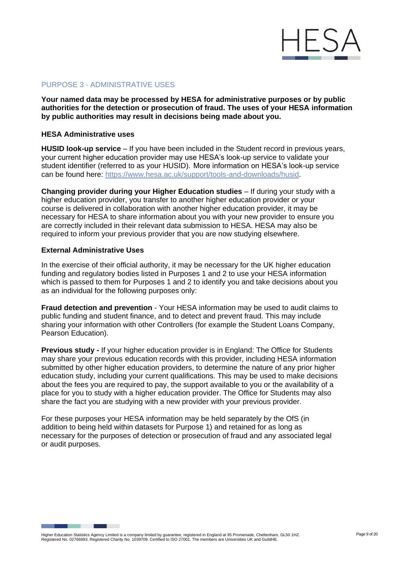

# PURPOSE 3 - ADMINISTRATIVE USES

**Your named data may be processed by HESA for administrative purposes or by public authorities for the detection or prosecution of fraud. The uses of your HESA information by public authorities may result in decisions being made about you.**

#### **HESA Administrative uses**

**HUSID look-up service** – If you have been included in the Student record in previous years, your current higher education provider may use HESA's look-up service to validate your student identifier (referred to as your HUSID). More information on HESA's look-up service can be found here: [https://www.hesa.ac.uk/support/tools-and-downloads/husid.](https://www.hesa.ac.uk/support/tools-and-downloads/husid)

**Changing provider during your Higher Education studies** – If during your study with a higher education provider, you transfer to another higher education provider or your course is delivered in collaboration with another higher education provider, it may be necessary for HESA to share information about you with your new provider to ensure you are correctly included in their relevant data submission to HESA. HESA may also be required to inform your previous provider that you are now studying elsewhere.

#### **External Administrative Uses**

In the exercise of their official authority, it may be necessary for the UK higher education funding and regulatory bodies listed in Purposes 1 and 2 to use your HESA information which is passed to them for Purposes 1 and 2 to identify you and take decisions about you as an individual for the following purposes only:

**Fraud detection and prevention** - Your HESA information may be used to audit claims to public funding and student finance, and to detect and prevent fraud. This may include sharing your information with other Controllers (for example the Student Loans Company, Pearson Education).

**Previous study -** If your higher education provider is in England: The Office for Students may share your previous education records with this provider, including HESA information submitted by other higher education providers, to determine the nature of any prior higher education study, including your current qualifications. This may be used to make decisions about the fees you are required to pay, the support available to you or the availability of a place for you to study with a higher education provider. The Office for Students may also share the fact you are studying with a new provider with your previous provider.

For these purposes your HESA information may be held separately by the OfS (in addition to being held within datasets for Purpose 1) and retained for as long as necessary for the purposes of detection or prosecution of fraud and any associated legal or audit purposes.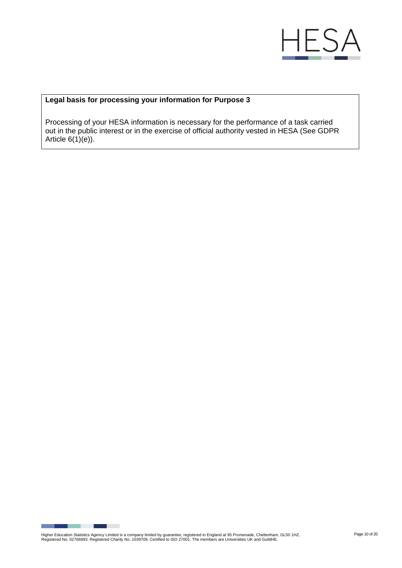

# **Legal basis for processing your information for Purpose 3**

Processing of your HESA information is necessary for the performance of a task carried out in the public interest or in the exercise of official authority vested in HESA (See GDPR Article  $6(1)(e)$ ).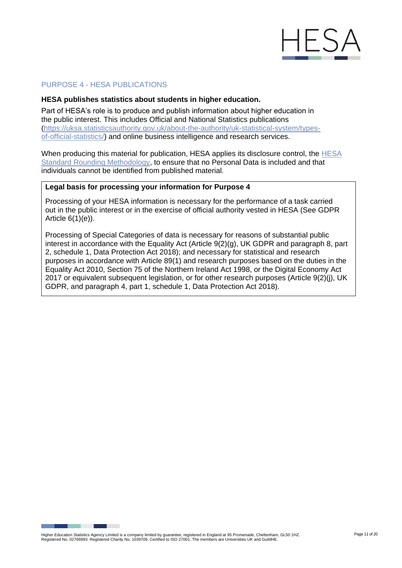

# PURPOSE 4 - HESA PUBLICATIONS

#### **HESA publishes statistics about students in higher education.**

Part of HESA's role is to produce and publish information about higher education in the public interest. This includes Official and National Statistics publications [\(https://uksa.statisticsauthority.gov.uk/about-the-authority/uk-statistical-system/types](https://uksa.statisticsauthority.gov.uk/about-the-authority/uk-statistical-system/types-of-official-statistics/)[of-official-statistics/\)](https://uksa.statisticsauthority.gov.uk/about-the-authority/uk-statistical-system/types-of-official-statistics/) and online business intelligence and research services.

When producing this material for publication, HESA applies its disclosure control, the [HESA](https://www.hesa.ac.uk/about/regulation/data-protection/rounding-and-suppression-anonymise-statistics)  [Standard Rounding Methodology,](https://www.hesa.ac.uk/about/regulation/data-protection/rounding-and-suppression-anonymise-statistics) to ensure that no Personal Data is included and that individuals cannot be identified from published material.

# **Legal basis for processing your information for Purpose 4**

Processing of your HESA information is necessary for the performance of a task carried out in the public interest or in the exercise of official authority vested in HESA (See GDPR Article 6(1)(e)).

Processing of Special Categories of data is necessary for reasons of substantial public interest in accordance with the Equality Act (Article 9(2)(g), UK GDPR and paragraph 8, part 2, schedule 1, Data Protection Act 2018); and necessary for statistical and research purposes in accordance with Article 89(1) and research purposes based on the duties in the Equality Act 2010, Section 75 of the Northern Ireland Act 1998, or the Digital Economy Act 2017 or equivalent subsequent legislation, or for other research purposes (Article 9(2)(i), UK GDPR, and paragraph 4, part 1, schedule 1, Data Protection Act 2018).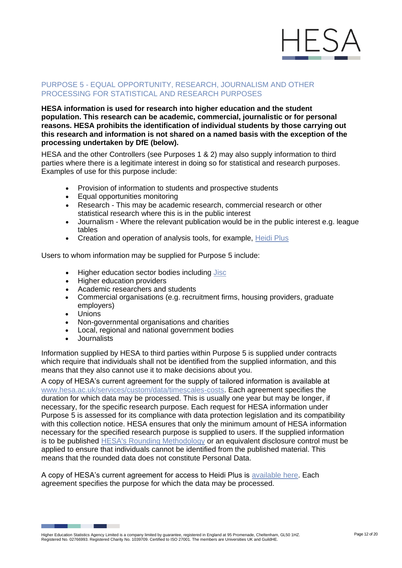

# PURPOSE 5 - EQUAL OPPORTUNITY, RESEARCH, JOURNALISM AND OTHER PROCESSING FOR STATISTICAL AND RESEARCH PURPOSES

**HESA information is used for research into higher education and the student population. This research can be academic, commercial, journalistic or for personal reasons. HESA prohibits the identification of individual students by those carrying out this research and information is not shared on a named basis with the exception of the processing undertaken by DfE (below).**

HESA and the other Controllers (see Purposes 1 & 2) may also supply information to third parties where there is a legitimate interest in doing so for statistical and research purposes. Examples of use for this purpose include:

- Provision of information to students and prospective students
- Equal opportunities monitoring
- Research This may be academic research, commercial research or other statistical research where this is in the public interest
- Journalism Where the relevant publication would be in the public interest e.g. league tables
- Creation and operation of analysis tools, for example, [Heidi Plus](https://www.jisc.ac.uk/heidi-plus)

Users to whom information may be supplied for Purpose 5 include:

- Higher education sector bodies including [Jisc](https://www.jisc.ac.uk/analytics/jisc-and-hesa-data-protection)
- Higher education providers
- Academic researchers and students
- Commercial organisations (e.g. recruitment firms, housing providers, graduate employers)
- Unions
- Non-governmental organisations and charities
- Local, regional and national government bodies
- Journalists

Information supplied by HESA to third parties within Purpose 5 is supplied under contracts which require that individuals shall not be identified from the supplied information, and this means that they also cannot use it to make decisions about you.

A copy of HESA's current agreement for the supply of tailored information is available at [www.hesa.ac.uk/services/custom/data/timescales-costs. E](https://www.hesa.ac.uk/services/custom/data/timescales-costs)ach agreement specifies the duration for which data may be processed. This is usually one year but may be longer, if necessary, for the specific research purpose. Each request for HESA information under Purpose 5 is assessed for its compliance with data protection legislation and its compatibility with this collection notice. HESA ensures that only the minimum amount of HESA information necessary for the specified research purpose is supplied to users. If the supplied information is to be published [HESA's Rounding Methodology](https://www.hesa.ac.uk/about/regulation/data-protection/rounding-and-suppression-anonymise-statistics) or an equivalent disclosure control must be applied to ensure that individuals cannot be identified from the published material. This means that the rounded data does not constitute Personal Data.

A copy of HESA's current agreement for access to Heidi Plus is [available here. E](https://www.hesa.ac.uk/files/Organisational%20Agreement%20for%20Access%20to%20Heidi%20Plus.pdf)ach agreement specifies the purpose for which the data may be processed.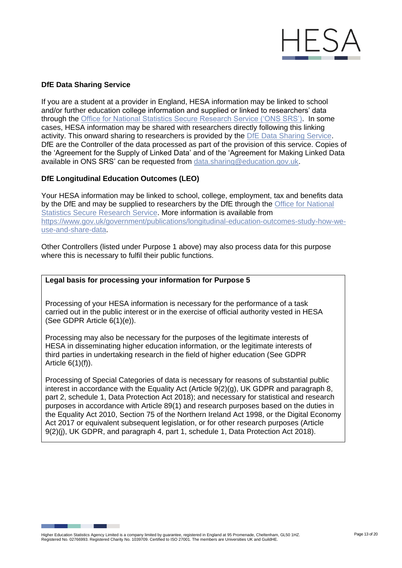

# **DfE Data Sharing Service**

If you are a student at a provider in England, HESA information may be linked to school and/or further education college information and supplied or linked to researchers' data through the [Office for National Statistics Secure Research Service \('ONS SRS'\).](https://www.ons.gov.uk/aboutus/whatwedo/statistics/requestingstatistics/approvedresearcherscheme) In some cases, HESA information may be shared with researchers directly following this linking activity. This onward sharing to researchers is provided by the [DfE Data Sharing Service.](https://www.gov.uk/guidance/data-protection-how-we-collect-and-share-research-data)  [DfE are the Controller of the data processed as part of the provision of this service. C](https://www.gov.uk/guidance/data-protection-how-we-collect-and-share-research-data)opies of the 'Agreement for the Supply of Linked Data' and of the 'Agreement for Making Linked Data available in ONS SRS' can be requested from [data.sharing@education.gov.uk.](mailto:data.sharing@education.gov.uk)

### **DfE Longitudinal Education Outcomes (LEO)**

Your HESA information may be linked to school, college, employment, tax and benefits data by the DfE and may be supplied to researchers by the DfE through the [Office for National](https://www.ons.gov.uk/aboutus/whatwedo/statistics/requestingstatistics/approvedresearcherscheme)  [Statistics Secure Research Service. M](https://www.ons.gov.uk/aboutus/whatwedo/statistics/requestingstatistics/approvedresearcherscheme)ore information is available from [https://www.gov.uk/government/publications/longitudinal-education-outcomes-study-how-we](https://www.gov.uk/government/publications/longitudinal-education-outcomes-study-how-we-use-and-share-data)[use-and-share-data.](https://www.gov.uk/government/publications/longitudinal-education-outcomes-study-how-we-use-and-share-data)

Other Controllers (listed under Purpose 1 above) may also process data for this purpose where this is necessary to fulfil their public functions.

#### **Legal basis for processing your information for Purpose 5**

Processing of your HESA information is necessary for the performance of a task carried out in the public interest or in the exercise of official authority vested in HESA (See GDPR Article 6(1)(e)).

Processing may also be necessary for the purposes of the legitimate interests of HESA in disseminating higher education information, or the legitimate interests of third parties in undertaking research in the field of higher education (See GDPR Article 6(1)(f)).

Processing of Special Categories of data is necessary for reasons of substantial public interest in accordance with the Equality Act (Article 9(2)(g), UK GDPR and paragraph 8, part 2, schedule 1, Data Protection Act 2018); and necessary for statistical and research purposes in accordance with Article 89(1) and research purposes based on the duties in the Equality Act 2010, Section 75 of the Northern Ireland Act 1998, or the Digital Economy Act 2017 or equivalent subsequent legislation, or for other research purposes (Article 9(2)(j), UK GDPR, and paragraph 4, part 1, schedule 1, Data Protection Act 2018).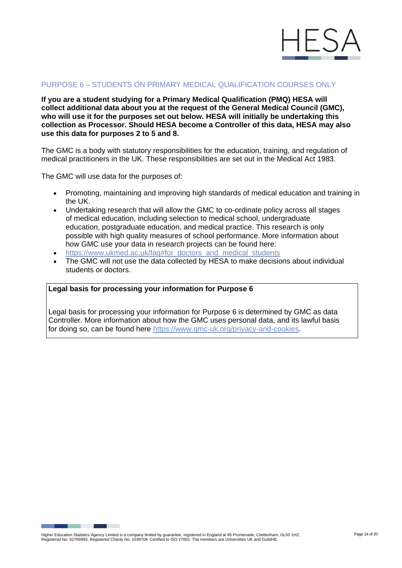

### PURPOSE 6 – STUDENTS ON PRIMARY MEDICAL QUALIFICATION COURSES ONLY

**If you are a student studying for a Primary Medical Qualification (PMQ) HESA will collect additional data about you at the request of the General Medical Council (GMC), who will use it for the purposes set out below. HESA will initially be undertaking this collection as Processor. Should HESA become a Controller of this data, HESA may also use this data for purposes 2 to 5 and 8.**

The GMC is a body with statutory responsibilities for the education, training, and regulation of medical practitioners in the UK. These responsibilities are set out in the Medical Act 1983.

The GMC will use data for the purposes of:

- Promoting, maintaining and improving high standards of medical education and training in the UK.
- Undertaking research that will allow the GMC to co-ordinate policy across all stages of medical education, including selection to medical school, undergraduate education, postgraduate education, and medical practice. This research is only possible with high quality measures of school performance. More information about how GMC use your data in research projects can be found here:
- [https://www.ukmed.ac.uk/faq#for\\_doctors\\_and\\_medical\\_students](https://www.ukmed.ac.uk/faq#for_doctors_and_medical_students)
- The GMC will not use the data collected by HESA to make decisions about individual students or doctors.

# **Legal basis for processing your information for Purpose 6**

Legal basis for processing your information for Purpose 6 is determined by GMC as data Controller. More information about how the GMC uses personal data, and its lawful basis for doing so, can be found here [https://www.gmc-uk.org/privacy-and-cookies.](https://www.gmc-uk.org/privacy-and-cookies)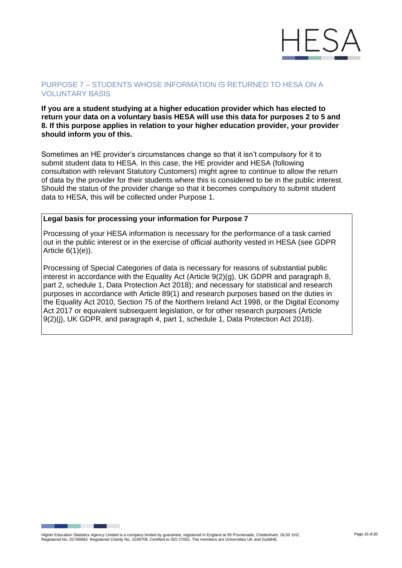

# PURPOSE 7 – STUDENTS WHOSE INFORMATION IS RETURNED TO HESA ON A VOLUNTARY BASIS

#### **If you are a student studying at a higher education provider which has elected to return your data on a voluntary basis HESA will use this data for purposes 2 to 5 and 8. If this purpose applies in relation to your higher education provider, your provider should inform you of this.**

Sometimes an HE provider's circumstances change so that it isn't compulsory for it to submit student data to HESA. In this case, the HE provider and HESA (following consultation with relevant Statutory Customers) might agree to continue to allow the return of data by the provider for their students where this is considered to be in the public interest. Should the status of the provider change so that it becomes compulsory to submit student data to HESA, this will be collected under Purpose 1.

# **Legal basis for processing your information for Purpose 7**

Processing of your HESA information is necessary for the performance of a task carried out in the public interest or in the exercise of official authority vested in HESA (see GDPR Article 6(1)(e)).

Processing of Special Categories of data is necessary for reasons of substantial public interest in accordance with the Equality Act (Article 9(2)(g), UK GDPR and paragraph 8, part 2, schedule 1, Data Protection Act 2018); and necessary for statistical and research purposes in accordance with Article 89(1) and research purposes based on the duties in the Equality Act 2010, Section 75 of the Northern Ireland Act 1998, or the Digital Economy Act 2017 or equivalent subsequent legislation, or for other research purposes (Article 9(2)(j), UK GDPR, and paragraph 4, part 1, schedule 1, Data Protection Act 2018).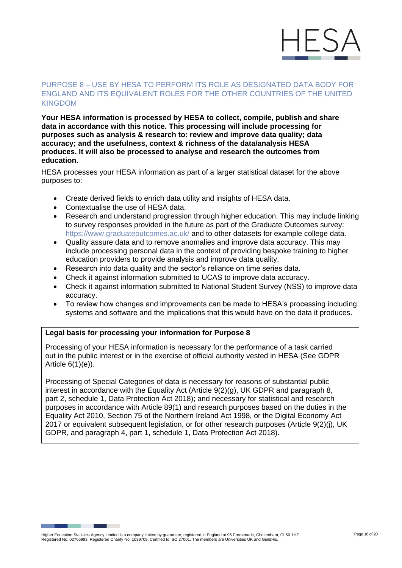

# PURPOSE 8 – USE BY HESA TO PERFORM ITS ROLE AS DESIGNATED DATA BODY FOR ENGLAND AND ITS EQUIVALENT ROLES FOR THE OTHER COUNTRIES OF THE UNITED KINGDOM

**Your HESA information is processed by HESA to collect, compile, publish and share data in accordance with this notice. This processing will include processing for purposes such as analysis & research to: review and improve data quality; data accuracy; and the usefulness, context & richness of the data/analysis HESA produces. It will also be processed to analyse and research the outcomes from education.**

HESA processes your HESA information as part of a larger statistical dataset for the above purposes to:

- Create derived fields to enrich data utility and insights of HESA data.
- Contextualise the use of HESA data.
- Research and understand progression through higher education. This may include linking to survey responses provided in the future as part of the Graduate Outcomes survey: <https://www.graduateoutcomes.ac.uk/> and to other datasets for example college data.
- Quality assure data and to remove anomalies and improve data accuracy. This may include processing personal data in the context of providing bespoke training to higher education providers to provide analysis and improve data quality.
- Research into data quality and the sector's reliance on time series data.
- Check it against information submitted to UCAS to improve data accuracy.
- Check it against information submitted to National Student Survey (NSS) to improve data accuracy.
- To review how changes and improvements can be made to HESA's processing including systems and software and the implications that this would have on the data it produces.

# **Legal basis for processing your information for Purpose 8**

Processing of your HESA information is necessary for the performance of a task carried out in the public interest or in the exercise of official authority vested in HESA (See GDPR Article 6(1)(e)).

Processing of Special Categories of data is necessary for reasons of substantial public interest in accordance with the Equality Act (Article 9(2)(g), UK GDPR and paragraph 8, part 2, schedule 1, Data Protection Act 2018); and necessary for statistical and research purposes in accordance with Article 89(1) and research purposes based on the duties in the Equality Act 2010, Section 75 of the Northern Ireland Act 1998, or the Digital Economy Act 2017 or equivalent subsequent legislation, or for other research purposes (Article 9(2)(j), UK GDPR, and paragraph 4, part 1, schedule 1, Data Protection Act 2018).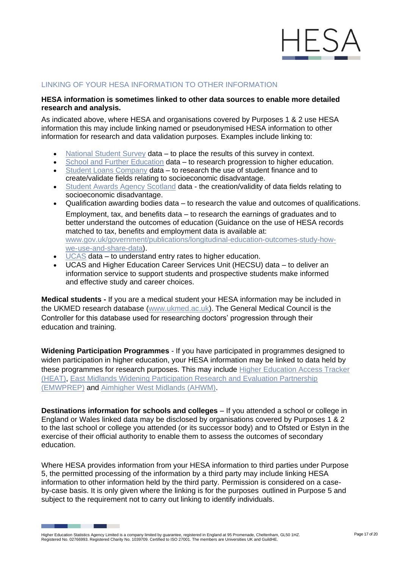

# LINKING OF YOUR HESA INFORMATION TO OTHER INFORMATION

#### **HESA information is sometimes linked to other data sources to enable more detailed research and analysis.**

As indicated above, where HESA and organisations covered by Purposes 1 & 2 use HESA information this may include linking named or pseudonymised HESA information to other information for research and data validation purposes. Examples include linking to:

- [National Student](https://www.thestudentsurvey.com/privacy-policy/) Survey data to place the results of this survey in context.
- School and [Further Education](https://www.gov.uk/guidance/data-protection-how-we-collect-and-share-research-data) data to research progression to higher education.
- Student [Loans Company](https://media.slc.co.uk/alldomiciles/nysf/dps_privacy_notice_e_o.pdf) data to research the use of student finance and to create/validate fields relating to socioeconomic disadvantage.
- [Student Awards Agency Scotland](https://www.saas.gov.uk/data-protection) data the creation/validity of data fields relating to socioeconomic disadvantage.
- Qualification awarding bodies data to research the value and outcomes of qualifications. Employment, tax, and benefits data – to research the earnings of graduates and to better understand the outcomes of education (Guidance on the use of HESA records matched to tax, benefits and employment data is available at: [www.gov.uk/government/publications/longitudinal-education-outcomes-study-how](https://www.gov.uk/government/publications/longitudinal-education-outcomes-study-how-we-use-and-share-data)[we-use-and-share-data\)](https://www.gov.uk/government/publications/longitudinal-education-outcomes-study-how-we-use-and-share-data).
- [UCAS](https://www.ucas.com/about-us/policies/privacy-policies-and-declarations/ucas-privacy-policy) data to understand entry rates to higher education.
- UCAS and Higher Education Career Services Unit (HECSU) data to deliver an information service to support students and prospective students make informed and effective study and career choices.

**Medical students -** If you are a medical student your HESA information may be included in the UKMED research database [\(www.ukmed.ac.uk\)](http://www.ukmed.ac.uk/). The General Medical Council is the Controller for this database used for researching doctors' progression through their education and training.

**Widening Participation Programmes** - If you have participated in programmes designed to widen participation in higher education, your HESA information may be linked to data held by these programmes for research purposes. This may include [Higher Education Access Tracker](https://heat.ac.uk/)  [\(HEAT\),](https://heat.ac.uk/) [East Midlands Widening Participation Research and Evaluation Partnership](http://www.emwprep.ac.uk/wp-content/uploads/2018/05/EMWPREP-Team-Structure-and-Key-Roles.pdf)  [\(EMWPREP\)](http://www.emwprep.ac.uk/wp-content/uploads/2018/05/EMWPREP-Team-Structure-and-Key-Roles.pdf) and [Aimhigher West Midlands \(AHWM\).](https://aimhigherwm.ac.uk/wp-content/uploads/2018/07/Aimhigher-West-Midlands-Privacy-Notice.pdf)

**Destinations information for schools and colleges** – If you attended a school or college in England or Wales linked data may be disclosed by organisations covered by Purposes 1 & 2 to the last school or college you attended (or its successor body) and to Ofsted or Estyn in the exercise of their official authority to enable them to assess the outcomes of secondary education.

Where HESA provides information from your HESA information to third parties under Purpose 5, the permitted processing of the information by a third party may include linking HESA information to other information held by the third party. Permission is considered on a caseby-case basis. It is only given where the linking is for the purposes outlined in Purpose 5 and subject to the requirement not to carry out linking to identify individuals.

Higher Education Statistics Agency Limited is a company limited by guarantee, registered in England at 95 Promenade, Cheltenham, GL50 1HZ.<br>Registered No. 02766993. Registered Charity No. 1039709. Certified to ISO 27001. Th

٠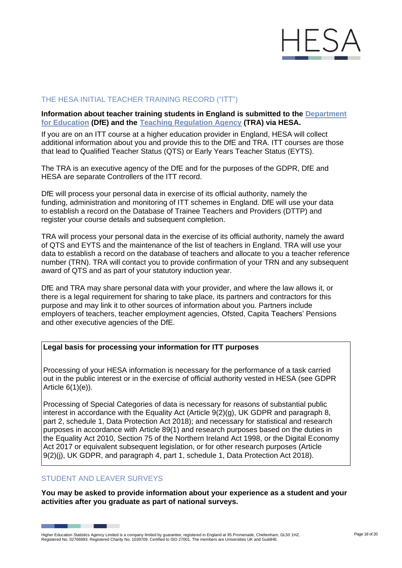

# THE HESA INITIAL TEACHER TRAINING RECORD ("ITT")

**Information about teacher training students in England is submitted to the [Department](https://www.gov.uk/guidance/data-protection-how-we-collect-and-share-research-data)  [for Education](https://www.gov.uk/guidance/data-protection-how-we-collect-and-share-research-data) (DfE) and the Teaching [Regulation Agency](https://www.gov.uk/government/organisations/teaching-regulation-agency/about/personal-information-charter) (TRA) via HESA.**

If you are on an ITT course at a higher education provider in England, HESA will collect additional information about you and provide this to the DfE and TRA. ITT courses are those that lead to Qualified Teacher Status (QTS) or Early Years Teacher Status (EYTS).

The TRA is an executive agency of the DfE and for the purposes of the GDPR, DfE and HESA are separate Controllers of the ITT record.

DfE will process your personal data in exercise of its official authority, namely the funding, administration and monitoring of ITT schemes in England. DfE will use your data to establish a record on the Database of Trainee Teachers and Providers (DTTP) and register your course details and subsequent completion.

TRA will process your personal data in the exercise of its official authority, namely the award of QTS and EYTS and the maintenance of the list of teachers in England. TRA will use your data to establish a record on the database of teachers and allocate to you a teacher reference number (TRN). TRA will contact you to provide confirmation of your TRN and any subsequent award of QTS and as part of your statutory induction year.

DfE and TRA may share personal data with your provider, and where the law allows it, or there is a legal requirement for sharing to take place, its partners and contractors for this purpose and may link it to other sources of information about you. Partners include employers of teachers, teacher employment agencies, Ofsted, Capita Teachers' Pensions and other executive agencies of the DfE.

#### **Legal basis for processing your information for ITT purposes**

Processing of your HESA information is necessary for the performance of a task carried out in the public interest or in the exercise of official authority vested in HESA (see GDPR Article 6(1)(e)).

Processing of Special Categories of data is necessary for reasons of substantial public interest in accordance with the Equality Act (Article 9(2)(g), UK GDPR and paragraph 8, part 2, schedule 1, Data Protection Act 2018); and necessary for statistical and research purposes in accordance with Article 89(1) and research purposes based on the duties in the Equality Act 2010, Section 75 of the Northern Ireland Act 1998, or the Digital Economy Act 2017 or equivalent subsequent legislation, or for other research purposes (Article 9(2)(j), UK GDPR, and paragraph 4, part 1, schedule 1, Data Protection Act 2018).

# STUDENT AND LEAVER SURVEYS

**You may be asked to provide information about your experience as a student and your activities after you graduate as part of national surveys.**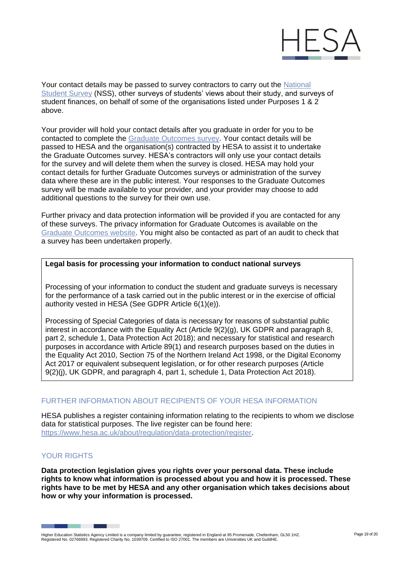

Your contact details may be passed to survey contractors to carry out the [National](https://www.thestudentsurvey.com/privacy-policy/)  [Student Survey](https://www.thestudentsurvey.com/privacy-policy/) (NSS), other surveys of students' views about their study, and surveys of student finances, on behalf of some of the organisations listed under Purposes 1 & 2 above.

Your provider will hold your contact details after you graduate in order for you to be contacted to complete the [Graduate Outcomes survey. Y](https://www.graduateoutcomes.ac.uk/student-q)our contact details will be passed to HESA and the organisation(s) contracted by HESA to assist it to undertake the Graduate Outcomes survey. HESA's contractors will only use your contact details for the survey and will delete them when the survey is closed. HESA may hold your contact details for further Graduate Outcomes surveys or administration of the survey data where these are in the public interest. Your responses to the Graduate Outcomes survey will be made available to your provider, and your provider may choose to add additional questions to the survey for their own use.

Further privacy and data protection information will be provided if you are contacted for any of these surveys. The privacy information for Graduate Outcomes is available on the [Graduate Outcomes website. Y](https://www.graduateoutcomes.ac.uk/privacy-info)ou might also be contacted as part of an audit to check that a survey has been undertaken properly.

### **Legal basis for processing your information to conduct national surveys**

Processing of your information to conduct the student and graduate surveys is necessary for the performance of a task carried out in the public interest or in the exercise of official authority vested in HESA (See GDPR Article 6(1)(e)).

Processing of Special Categories of data is necessary for reasons of substantial public interest in accordance with the Equality Act (Article 9(2)(g), UK GDPR and paragraph 8, part 2, schedule 1, Data Protection Act 2018); and necessary for statistical and research purposes in accordance with Article 89(1) and research purposes based on the duties in the Equality Act 2010, Section 75 of the Northern Ireland Act 1998, or the Digital Economy Act 2017 or equivalent subsequent legislation, or for other research purposes (Article 9(2)(j), UK GDPR, and paragraph 4, part 1, schedule 1, Data Protection Act 2018).

# FURTHER INFORMATION ABOUT RECIPIENTS OF YOUR HESA INFORMATION

HESA publishes a register containing information relating to the recipients to whom we disclose data for statistical purposes. The live register can be found here: [https://www.hesa.ac.uk/about/regulation/data-protection/register.](https://www.hesa.ac.uk/about/regulation/data-protection/register)

# YOUR RIGHTS

**Data protection legislation gives you rights over your personal data. These include rights to know what information is processed about you and how it is processed. These rights have to be met by HESA and any other organisation which takes decisions about how or why your information is processed.**